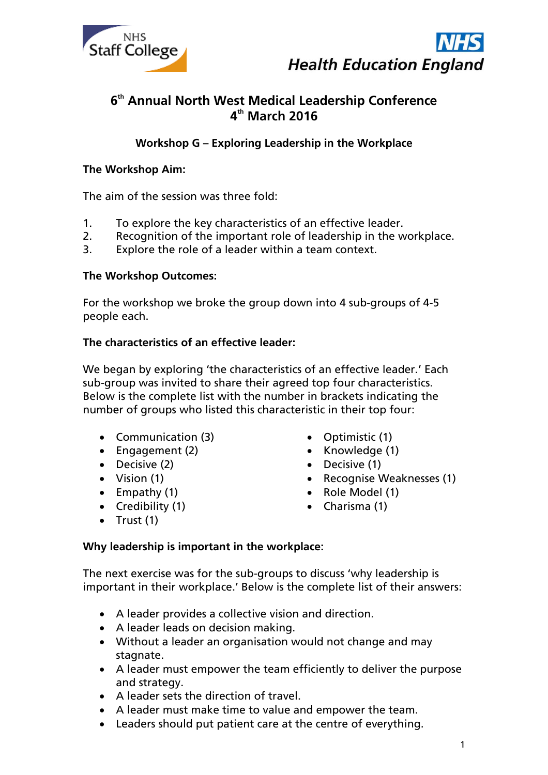



# **6 th Annual North West Medical Leadership Conference 4 th March 2016**

**Workshop G – Exploring Leadership in the Workplace**

# **The Workshop Aim:**

The aim of the session was three fold:

- 1. To explore the key characteristics of an effective leader.
- 2. Recognition of the important role of leadership in the workplace.
- 3. Explore the role of a leader within a team context.

#### **The Workshop Outcomes:**

For the workshop we broke the group down into 4 sub-groups of 4-5 people each.

#### **The characteristics of an effective leader:**

We began by exploring 'the characteristics of an effective leader.' Each sub-group was invited to share their agreed top four characteristics. Below is the complete list with the number in brackets indicating the number of groups who listed this characteristic in their top four:

- Communication (3)
- $\bullet$  Engagement (2)
- Decisive (2)
- Vision (1)
- $\bullet$  Empathy (1)
- Credibility (1)
- Optimistic (1)
- $\bullet$  Knowledge (1)
- Decisive (1)
- Recognise Weaknesses (1)
- Role Model (1)
- Charisma (1)

 $\bullet$  Trust (1)

# **Why leadership is important in the workplace:**

The next exercise was for the sub-groups to discuss 'why leadership is important in their workplace.' Below is the complete list of their answers:

- A leader provides a collective vision and direction.
- A leader leads on decision making.
- Without a leader an organisation would not change and may stagnate.
- A leader must empower the team efficiently to deliver the purpose and strategy.
- A leader sets the direction of travel.
- A leader must make time to value and empower the team.
- Leaders should put patient care at the centre of everything.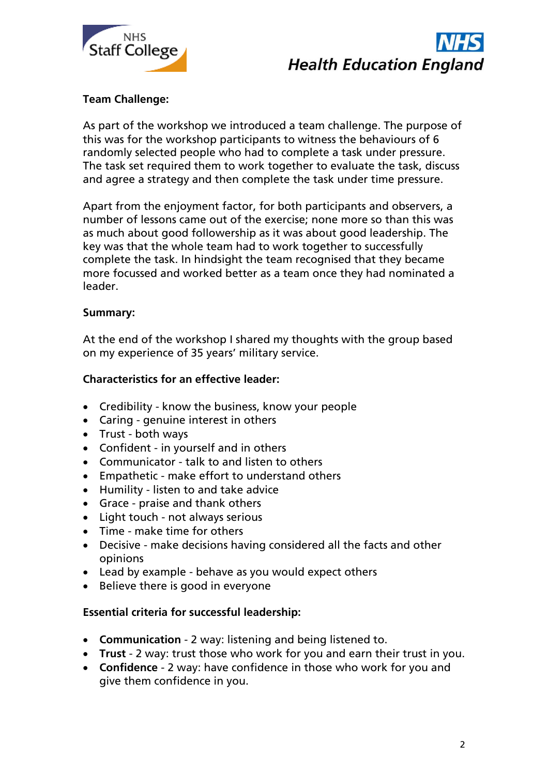



# **Team Challenge:**

As part of the workshop we introduced a team challenge. The purpose of this was for the workshop participants to witness the behaviours of 6 randomly selected people who had to complete a task under pressure. The task set required them to work together to evaluate the task, discuss and agree a strategy and then complete the task under time pressure.

Apart from the enjoyment factor, for both participants and observers, a number of lessons came out of the exercise; none more so than this was as much about good followership as it was about good leadership. The key was that the whole team had to work together to successfully complete the task. In hindsight the team recognised that they became more focussed and worked better as a team once they had nominated a leader.

#### **Summary:**

At the end of the workshop I shared my thoughts with the group based on my experience of 35 years' military service.

#### **Characteristics for an effective leader:**

- Credibility know the business, know your people
- Caring genuine interest in others
- Trust both ways
- Confident in yourself and in others
- Communicator talk to and listen to others
- Empathetic make effort to understand others
- Humility listen to and take advice
- Grace praise and thank others
- Light touch not always serious
- Time make time for others
- Decisive make decisions having considered all the facts and other opinions
- Lead by example behave as you would expect others
- Believe there is good in everyone

# **Essential criteria for successful leadership:**

- **Communication** 2 way: listening and being listened to.
- **Trust** 2 way: trust those who work for you and earn their trust in you.
- **Confidence** 2 way: have confidence in those who work for you and give them confidence in you.